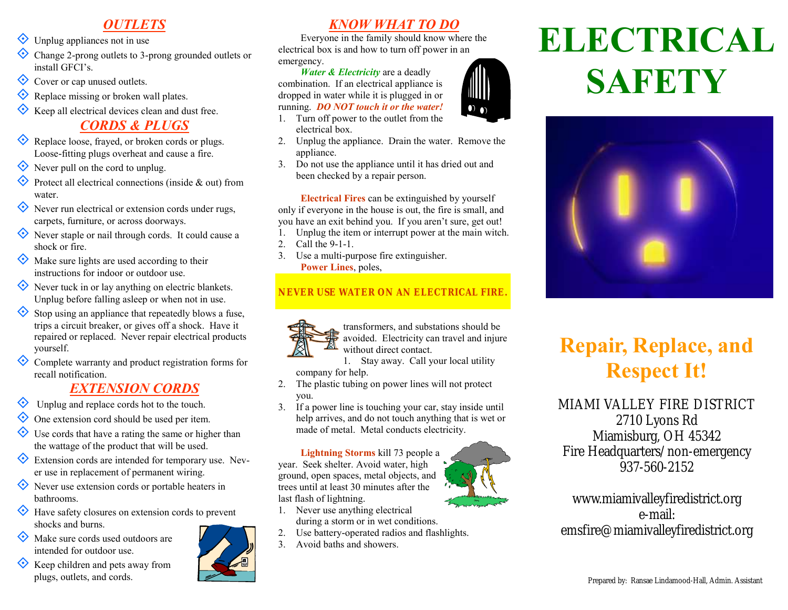### *OUTLETS*

- $\diamondsuit$  Unplug appliances not in use
- Change 2-prong outlets to 3-prong grounded outlets or install GFCI's.
- Cover or cap unused outlets.
- Replace missing or broken wall plates.
- Keep all electrical devices clean and dust free.

# *CORDS & PLUGS*

- Replace loose, frayed, or broken cords or plugs. Loose-fitting plugs overheat and cause a fire.
- Never pull on the cord to unplug.
- Protect all electrical connections (inside & out) from water.
- Never run electrical or extension cords under rugs, carpets, furniture, or across doorways.
- Never staple or nail through cords. It could cause a shock or fire.
- $\Diamond$  Make sure lights are used according to their instructions for indoor or outdoor use.
- Never tuck in or lay anything on electric blankets. Unplug before falling asleep or when not in use.
- $\diamondsuit$  Stop using an appliance that repeatedly blows a fuse, trips a circuit breaker, or gives off a shock. Have it repaired or replaced. Never repair electrical products yourself.
- Complete warranty and product registration forms for recall notification.

## *EXTENSION CORDS*

- $\Diamond$  Unplug and replace cords hot to the touch.
- ◆ One extension cord should be used per item.
- $\Diamond$  Use cords that have a rating the same or higher than the wattage of the product that will be used.
- Extension cords are intended for temporary use. Never use in replacement of permanent wiring.
- Never use extension cords or portable heaters in bathrooms.
- Have safety closures on extension cords to prevent shocks and burns.
- $\Diamond$  Make sure cords used outdoors are intended for outdoor use.
- $\diamondsuit$  Keep children and pets away from plugs, outlets, and cords.



Everyone in the family should know where the electrical box is and how to turn off power in an emergency.

*Water & Electricity* are a deadly combination. If an electrical appliance is dropped in water while it is plugged in or running. *DO NOT touch it or the water!*

- 1. Turn off power to the outlet from the electrical box.
- 2. Unplug the appliance. Drain the water. Remove the appliance.
- 3. Do not use the appliance until it has dried out and been checked by a repair person.

**Electrical Fires** can be extinguished by yourself only if everyone in the house is out, the fire is small, and you have an exit behind you. If you aren't sure, get out!

- 1. Unplug the item or interrupt power at the main witch.
- 2. Call the 9-1-1.
- 3. Use a multi-purpose fire extinguisher. **Power Lines**, poles,

### **NEVER USE WATER ON AN ELECTRICAL FIRE.**



transformers, and substations should be avoided. Electricity can travel and injure without direct contact.

1. Stay away. Call your local utility company for help.

- 2. The plastic tubing on power lines will not protect you.
- 3. If a power line is touching your car, stay inside until help arrives, and do not touch anything that is wet or made of metal. Metal conducts electricity.

**Lightning Storms** kill 73 people a year. Seek shelter. Avoid water, high ground, open spaces, metal objects, and trees until at least 30 minutes after the last flash of lightning.



- 2. Use battery-operated radios and flashlights.
- 3. Avoid baths and showers.

# **ELECTRICAL SAFETY**



# **Repair, Replace, and Respect It!**

MIAMI VALLEY FIRE DISTRICT 2710 Lyons Rd Miamisburg, OH 45342 Fire Headquarters/non-emergency 937-560-2152

www.miamivalleyfiredistrict.org e-mail: emsfire@miamivalleyfiredistrict.org

Prepared by: Ransae Lindamood-Hall, Admin. Assistant